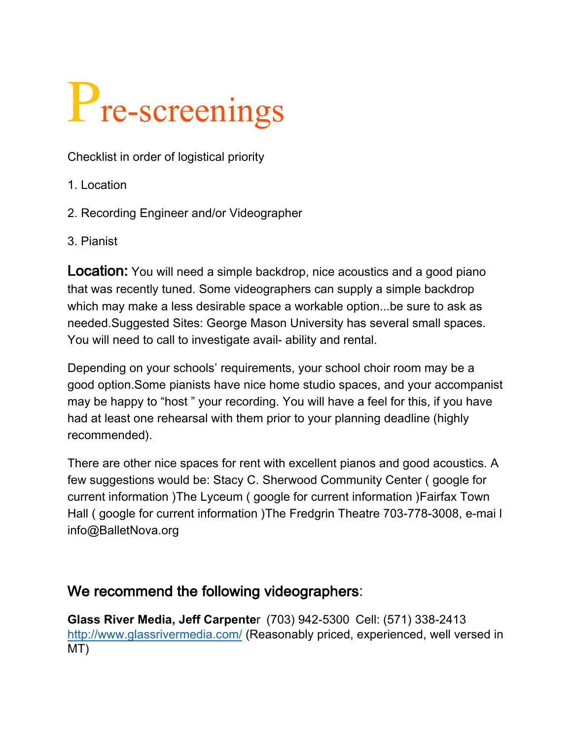## P<sub>re-screenings</sub>

Checklist in order of logistical priority

- 1. Location
- 2. Recording Engineer and/or Videographer
- 3. Pianist

**Location:** You will need a simple backdrop, nice acoustics and a good piano that was recently tuned. Some videographers can supply a simple backdrop which may make a less desirable space a workable option...be sure to ask as needed.Suggested Sites: George Mason University has several small spaces. You will need to call to investigate avail- ability and rental.

Depending on your schools' requirements, your school choir room may be a good option.Some pianists have nice home studio spaces, and your accompanist may be happy to "host " your recording. You will have a feel for this, if you have had at least one rehearsal with them prior to your planning deadline (highly recommended).

There are other nice spaces for rent with excellent pianos and good acoustics. A few suggestions would be: Stacy C. Sherwood Community Center ( google for current information )The Lyceum ( google for current information )Fairfax Town Hall ( google for current information )The Fredgrin Theatre 703-778-3008, e-mai l info@BalletNova.org

## We recommend the following videographers:

**Glass River Media, Jeff Carpente**r (703) 942-5300 Cell: (571) 338-2413 http://www.glassrivermedia.com/ (Reasonably priced, experienced, well versed in MT)